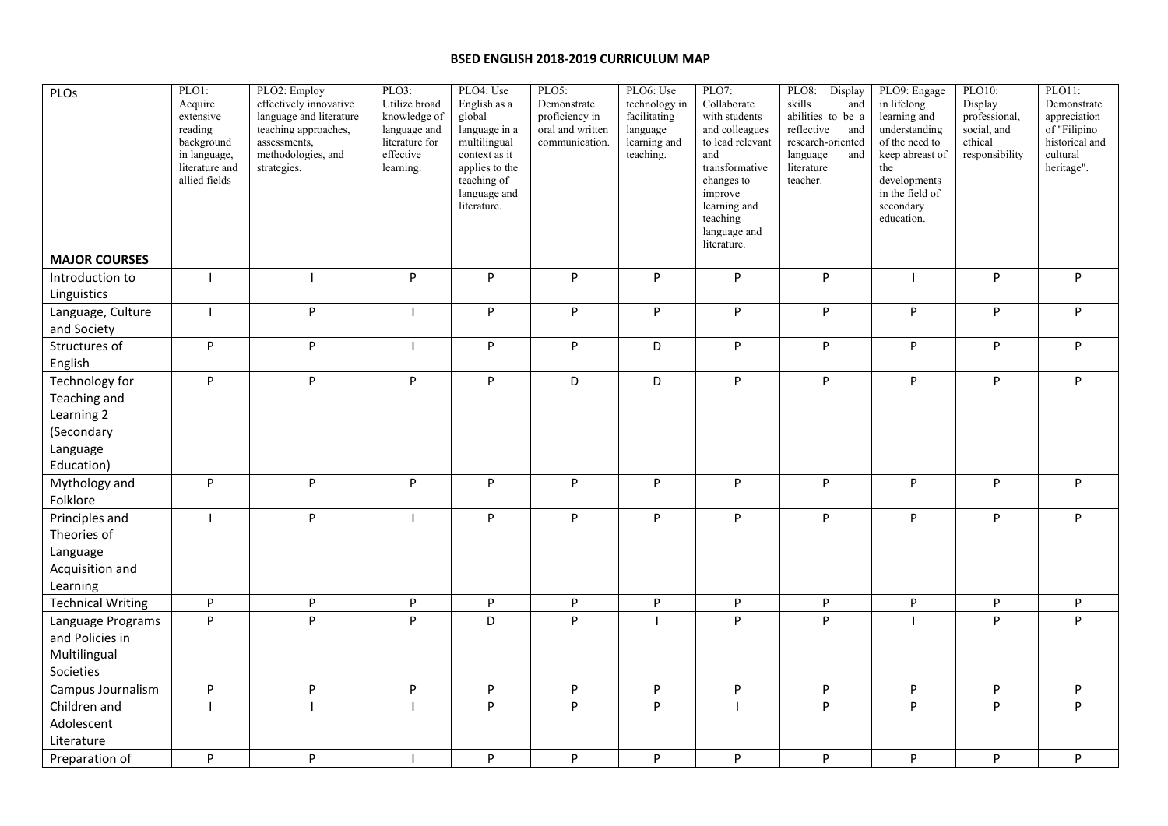## **BSED ENGLISH 2018-2019 CURRICULUM MAP**

| PLOs                                                              | PLO1:<br>Acquire<br>extensive<br>reading<br>background<br>in language,<br>literature and<br>allied fields | PLO2: Employ<br>effectively innovative<br>language and literature<br>teaching approaches,<br>assessments,<br>methodologies, and<br>strategies. | PLO3:<br>Utilize broad<br>knowledge of<br>language and<br>literature for<br>effective<br>learning. | PLO4: Use<br>English as a<br>global<br>language in a<br>multilingual<br>context as it<br>applies to the<br>teaching of<br>language and<br>literature. | PLO5:<br>Demonstrate<br>proficiency in<br>oral and written<br>communication.   | PLO6: Use<br>technology in<br>facilitating<br>language<br>learning and<br>teaching. | PLO7:<br>Collaborate<br>with students<br>and colleagues<br>to lead relevant<br>and<br>transformative<br>changes to<br>improve<br>learning and<br>teaching<br>language and<br>literature. | PLO8:<br>Display<br>skills<br>and<br>abilities to be a<br>reflective<br>and<br>research-oriented<br>language<br>and<br>literature<br>teacher. | PLO9: Engage<br>in lifelong<br>learning and<br>understanding<br>of the need to<br>keep abreast of<br>the<br>developments<br>in the field of<br>secondary<br>education. | PLO10:<br>Display<br>professional,<br>social, and<br>ethical<br>responsibility | PLO11:<br>Demonstrate<br>appreciation<br>of "Filipino<br>historical and<br>cultural<br>heritage". |
|-------------------------------------------------------------------|-----------------------------------------------------------------------------------------------------------|------------------------------------------------------------------------------------------------------------------------------------------------|----------------------------------------------------------------------------------------------------|-------------------------------------------------------------------------------------------------------------------------------------------------------|--------------------------------------------------------------------------------|-------------------------------------------------------------------------------------|------------------------------------------------------------------------------------------------------------------------------------------------------------------------------------------|-----------------------------------------------------------------------------------------------------------------------------------------------|------------------------------------------------------------------------------------------------------------------------------------------------------------------------|--------------------------------------------------------------------------------|---------------------------------------------------------------------------------------------------|
| <b>MAJOR COURSES</b>                                              |                                                                                                           |                                                                                                                                                |                                                                                                    |                                                                                                                                                       |                                                                                |                                                                                     |                                                                                                                                                                                          |                                                                                                                                               |                                                                                                                                                                        |                                                                                |                                                                                                   |
| Introduction to                                                   |                                                                                                           |                                                                                                                                                | P                                                                                                  | P                                                                                                                                                     | P                                                                              | P                                                                                   | $\mathsf{P}$                                                                                                                                                                             | ${\sf P}$                                                                                                                                     |                                                                                                                                                                        | $\mathsf{P}$                                                                   | P                                                                                                 |
| Linguistics                                                       |                                                                                                           |                                                                                                                                                |                                                                                                    |                                                                                                                                                       |                                                                                |                                                                                     |                                                                                                                                                                                          |                                                                                                                                               |                                                                                                                                                                        |                                                                                |                                                                                                   |
| Language, Culture<br>and Society                                  | $\mathbf{I}$                                                                                              | P                                                                                                                                              |                                                                                                    | P                                                                                                                                                     | P                                                                              | P                                                                                   | $\sf P$                                                                                                                                                                                  | ${\sf P}$                                                                                                                                     | P                                                                                                                                                                      | $\mathsf{P}$                                                                   | P                                                                                                 |
| Structures of                                                     | P                                                                                                         | P                                                                                                                                              |                                                                                                    | P                                                                                                                                                     | P                                                                              | D                                                                                   | P                                                                                                                                                                                        | ${\sf P}$                                                                                                                                     | P                                                                                                                                                                      | $\mathsf{P}$                                                                   | P                                                                                                 |
| English                                                           |                                                                                                           |                                                                                                                                                |                                                                                                    |                                                                                                                                                       |                                                                                |                                                                                     |                                                                                                                                                                                          |                                                                                                                                               |                                                                                                                                                                        |                                                                                |                                                                                                   |
| Technology for<br>Teaching and                                    | P                                                                                                         | P                                                                                                                                              | P                                                                                                  | P                                                                                                                                                     | D                                                                              | D                                                                                   | $\sf P$                                                                                                                                                                                  | P                                                                                                                                             | P                                                                                                                                                                      | P                                                                              | P                                                                                                 |
| Learning 2<br>(Secondary<br>Language                              |                                                                                                           |                                                                                                                                                |                                                                                                    |                                                                                                                                                       |                                                                                |                                                                                     |                                                                                                                                                                                          |                                                                                                                                               |                                                                                                                                                                        |                                                                                |                                                                                                   |
| Education)                                                        |                                                                                                           |                                                                                                                                                |                                                                                                    |                                                                                                                                                       |                                                                                |                                                                                     |                                                                                                                                                                                          |                                                                                                                                               |                                                                                                                                                                        |                                                                                |                                                                                                   |
| Mythology and<br>Folklore                                         | P                                                                                                         | P                                                                                                                                              | P                                                                                                  | P                                                                                                                                                     | P                                                                              | P                                                                                   | $\mathsf{P}$                                                                                                                                                                             | ${\sf P}$                                                                                                                                     | P                                                                                                                                                                      | $\mathsf{P}$                                                                   | P                                                                                                 |
| Principles and<br>Theories of<br>Language<br>Acquisition and      | $\overline{\phantom{a}}$                                                                                  | P                                                                                                                                              |                                                                                                    | P                                                                                                                                                     | P                                                                              | P                                                                                   | $\sf P$                                                                                                                                                                                  | P                                                                                                                                             | P                                                                                                                                                                      | $\mathsf{P}$                                                                   | P                                                                                                 |
| Learning                                                          |                                                                                                           |                                                                                                                                                |                                                                                                    |                                                                                                                                                       |                                                                                |                                                                                     |                                                                                                                                                                                          |                                                                                                                                               |                                                                                                                                                                        |                                                                                |                                                                                                   |
| <b>Technical Writing</b>                                          | P                                                                                                         | P                                                                                                                                              | P                                                                                                  | ${\sf P}$                                                                                                                                             | $\mathsf{P}% _{T}=\mathsf{P}_{T}\!\left( \mathsf{P}_{T}\right) \mathsf{P}_{T}$ | P                                                                                   | $\sf P$                                                                                                                                                                                  | P                                                                                                                                             | P                                                                                                                                                                      | ${\sf P}$                                                                      | ${\sf P}$                                                                                         |
| Language Programs<br>and Policies in<br>Multilingual<br>Societies | P                                                                                                         | p                                                                                                                                              | P                                                                                                  | D                                                                                                                                                     | P                                                                              |                                                                                     | P                                                                                                                                                                                        | P                                                                                                                                             |                                                                                                                                                                        | P                                                                              | P                                                                                                 |
| Campus Journalism                                                 | P                                                                                                         | ${\sf P}$                                                                                                                                      | P                                                                                                  | P                                                                                                                                                     | ${\sf P}$                                                                      | P                                                                                   | $\mathsf{P}% _{0}\left( \mathcal{A}_{0}\right) \equiv\mathsf{P}_{0}\left( \mathcal{A}_{0}\right)$                                                                                        | $\sf P$                                                                                                                                       | P                                                                                                                                                                      | ${\sf P}$                                                                      | P                                                                                                 |
| Children and                                                      |                                                                                                           |                                                                                                                                                |                                                                                                    | P                                                                                                                                                     | P                                                                              | P                                                                                   |                                                                                                                                                                                          | P                                                                                                                                             | P                                                                                                                                                                      | P                                                                              | P                                                                                                 |
| Adolescent<br>Literature                                          |                                                                                                           |                                                                                                                                                |                                                                                                    |                                                                                                                                                       |                                                                                |                                                                                     |                                                                                                                                                                                          |                                                                                                                                               |                                                                                                                                                                        |                                                                                |                                                                                                   |
| Preparation of                                                    | P                                                                                                         | P                                                                                                                                              |                                                                                                    | P                                                                                                                                                     | P                                                                              | P                                                                                   | P                                                                                                                                                                                        | P                                                                                                                                             | P                                                                                                                                                                      | $\mathsf{P}$                                                                   | P                                                                                                 |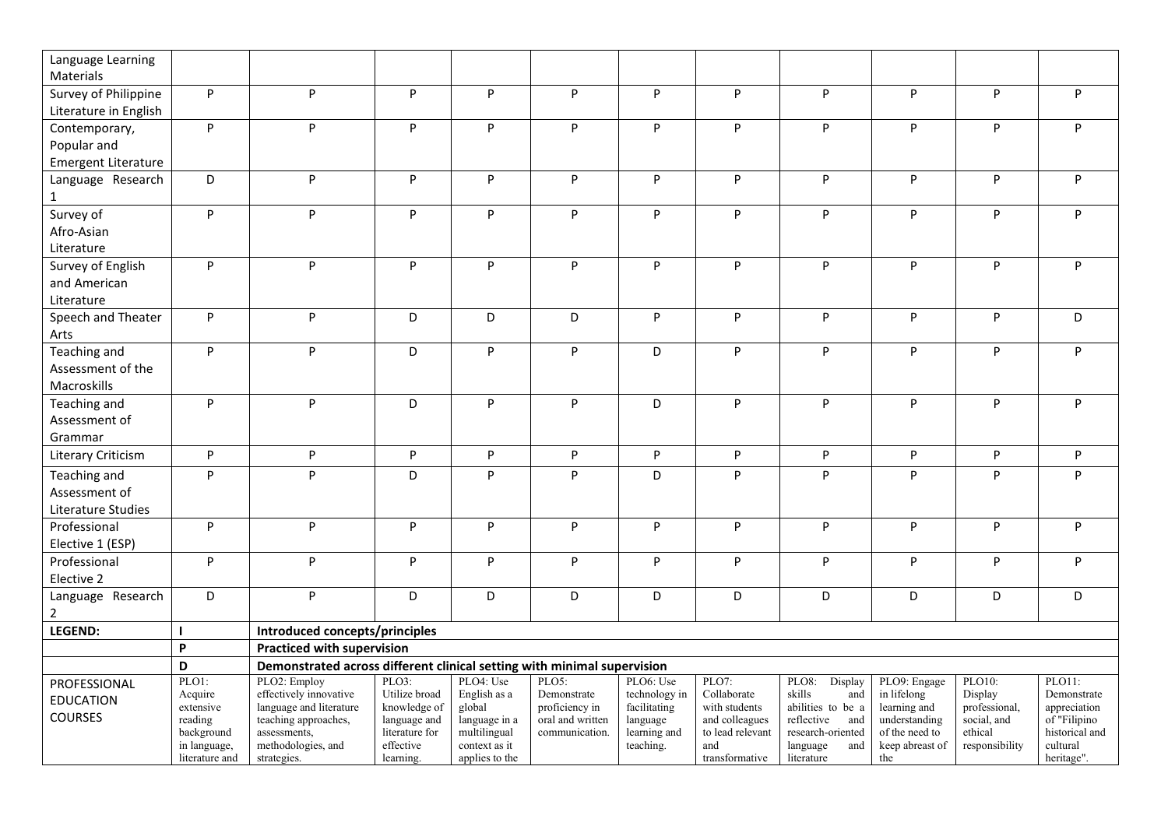| Language Learning          |                       |                                                                         |                                |                               |                                    |                          |                                                                                |                                        |                                                     |                        |                                |
|----------------------------|-----------------------|-------------------------------------------------------------------------|--------------------------------|-------------------------------|------------------------------------|--------------------------|--------------------------------------------------------------------------------|----------------------------------------|-----------------------------------------------------|------------------------|--------------------------------|
| Materials                  |                       |                                                                         |                                |                               |                                    |                          |                                                                                |                                        |                                                     |                        |                                |
| Survey of Philippine       | P                     | P                                                                       | P                              | P                             | $\mathsf{P}$                       | P                        | P                                                                              | P                                      | $\mathsf{P}$                                        | P                      | P                              |
| Literature in English      |                       |                                                                         |                                |                               |                                    |                          |                                                                                |                                        |                                                     |                        |                                |
| Contemporary,              | P                     | P                                                                       | P                              | P                             | P                                  | P                        | P                                                                              | P                                      | $\mathsf{P}% _{0}\left( \mathsf{P}_{0}\right) ^{T}$ | P                      | P                              |
| Popular and                |                       |                                                                         |                                |                               |                                    |                          |                                                                                |                                        |                                                     |                        |                                |
| <b>Emergent Literature</b> |                       |                                                                         |                                |                               |                                    |                          |                                                                                |                                        |                                                     |                        |                                |
| Language Research          | D                     | P                                                                       | P                              | P                             | P                                  | P                        | P                                                                              | P                                      | $\sf P$                                             | P                      | P                              |
| $\mathbf{1}$               |                       |                                                                         |                                |                               |                                    |                          |                                                                                |                                        |                                                     |                        |                                |
| Survey of                  | P                     | P                                                                       | $\sf P$                        | ${\sf P}$                     | ${\sf P}$                          | $\sf P$                  | P                                                                              | P                                      | $\mathsf{P}$                                        | P                      | P                              |
| Afro-Asian                 |                       |                                                                         |                                |                               |                                    |                          |                                                                                |                                        |                                                     |                        |                                |
| Literature                 |                       |                                                                         |                                |                               |                                    |                          |                                                                                |                                        |                                                     |                        |                                |
| Survey of English          | P                     | P                                                                       | P                              | P                             | P                                  | P                        | P                                                                              | P                                      | P                                                   | P                      | P.                             |
| and American               |                       |                                                                         |                                |                               |                                    |                          |                                                                                |                                        |                                                     |                        |                                |
| Literature                 |                       |                                                                         |                                |                               |                                    |                          |                                                                                |                                        |                                                     |                        |                                |
| Speech and Theater         | P                     | P                                                                       | D                              | D                             | D                                  | P                        | P                                                                              | P                                      | P                                                   | P                      | D                              |
| Arts                       |                       |                                                                         |                                |                               |                                    |                          |                                                                                |                                        |                                                     |                        |                                |
| Teaching and               | P                     | P                                                                       | D                              | P                             | ${\sf P}$                          | D                        | P                                                                              | P                                      | ${\sf P}$                                           | P                      | P                              |
| Assessment of the          |                       |                                                                         |                                |                               |                                    |                          |                                                                                |                                        |                                                     |                        |                                |
| Macroskills                |                       |                                                                         |                                |                               |                                    |                          |                                                                                |                                        |                                                     |                        |                                |
| Teaching and               | P                     | P                                                                       | D                              | P                             | P                                  | D                        | P                                                                              | P                                      | P                                                   | P                      | P                              |
| Assessment of<br>Grammar   |                       |                                                                         |                                |                               |                                    |                          |                                                                                |                                        |                                                     |                        |                                |
|                            | P                     | P                                                                       | P                              | P                             | P                                  | P                        | $\mathsf{P}% _{T}=\mathsf{P}_{T}\!\left( \mathsf{P}_{T}\right) \mathsf{P}_{T}$ |                                        |                                                     | P                      | P                              |
| Literary Criticism         |                       |                                                                         |                                |                               |                                    |                          |                                                                                | P                                      | P                                                   |                        |                                |
| Teaching and               | P                     | P                                                                       | D                              | P                             | P                                  | D                        | P                                                                              | P                                      | P                                                   | P                      | P                              |
| Assessment of              |                       |                                                                         |                                |                               |                                    |                          |                                                                                |                                        |                                                     |                        |                                |
| Literature Studies         |                       |                                                                         |                                |                               |                                    |                          |                                                                                |                                        |                                                     |                        |                                |
| Professional               | P                     | P                                                                       | P                              | P                             | ${\sf P}$                          | ${\sf P}$                | P                                                                              | P                                      | $\mathsf{P}$                                        | P                      | P                              |
| Elective 1 (ESP)           |                       |                                                                         |                                |                               |                                    |                          |                                                                                |                                        |                                                     |                        |                                |
| Professional               | P                     | P                                                                       | $\sf P$                        | ${\sf P}$                     | P                                  | ${\sf P}$                | P                                                                              | P                                      | $\mathsf{P}% _{0}\left( \mathsf{P}_{0}\right) ^{T}$ | P                      | P                              |
| Elective 2                 |                       |                                                                         |                                |                               |                                    |                          |                                                                                |                                        |                                                     |                        |                                |
| Language Research          | D                     | P                                                                       | D                              | D                             | D                                  | D                        | D                                                                              | D                                      | D                                                   | D                      | D                              |
| $\overline{2}$<br>LEGEND:  |                       | Introduced concepts/principles                                          |                                |                               |                                    |                          |                                                                                |                                        |                                                     |                        |                                |
|                            | P                     | <b>Practiced with supervision</b>                                       |                                |                               |                                    |                          |                                                                                |                                        |                                                     |                        |                                |
|                            | D                     | Demonstrated across different clinical setting with minimal supervision |                                |                               |                                    |                          |                                                                                |                                        |                                                     |                        |                                |
| PROFESSIONAL               | PLO1:                 | PLO2: Employ                                                            | $PLO3$ :                       | PLO4: Use                     | PLO5:                              | PLO6: Use                | PLO7:                                                                          | PLO8:<br>Display                       | PLO9: Engage                                        | PLO10:                 | PLO11:                         |
| <b>EDUCATION</b>           | Acquire               | effectively innovative                                                  | Utilize broad                  | English as a                  | Demonstrate                        | technology in            | Collaborate                                                                    | skills<br>and                          | in lifelong                                         | Display                | Demonstrate                    |
| <b>COURSES</b>             | extensive             | language and literature                                                 | knowledge of                   | global                        | proficiency in                     | facilitating             | with students                                                                  | abilities to be a                      | learning and                                        | professional,          | appreciation                   |
|                            | reading<br>background | teaching approaches,<br>assessments,                                    | language and<br>literature for | language in a<br>multilingual | oral and written<br>communication. | language<br>learning and | and colleagues<br>to lead relevant                                             | reflective<br>and<br>research-oriented | understanding<br>of the need to                     | social, and<br>ethical | of "Filipino<br>historical and |
|                            | in language,          | methodologies, and                                                      | effective                      | context as it                 |                                    | teaching.                | and                                                                            | language<br>and                        | keep abreast of                                     | responsibility         | cultural                       |
|                            | literature and        | strategies.                                                             | learning.                      | applies to the                |                                    |                          | transformative                                                                 | literature                             | the                                                 |                        | heritage".                     |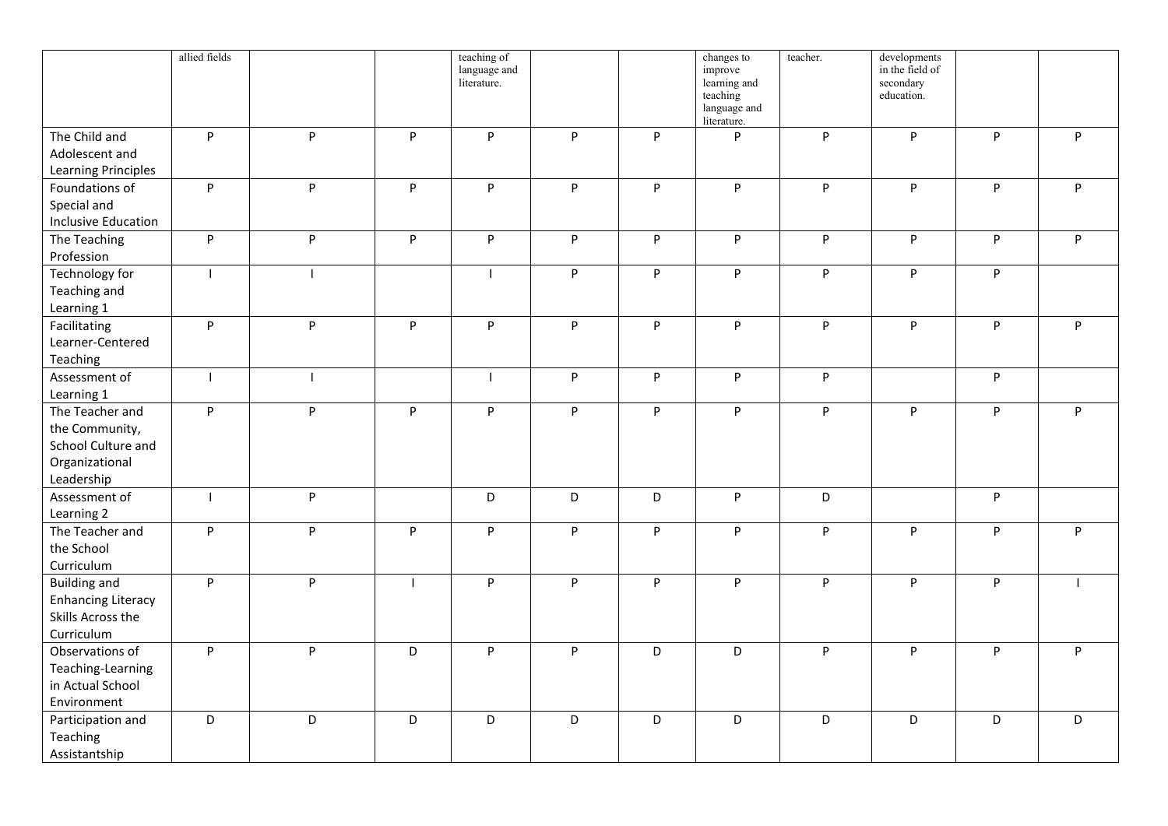|                                                                                         | allied fields |              |    | teaching of<br>language and<br>literature. |             |   | changes to<br>improve<br>learning and<br>teaching<br>language and<br>literature. | teacher. | developments<br>in the field of<br>secondary<br>education. |                                                     |   |
|-----------------------------------------------------------------------------------------|---------------|--------------|----|--------------------------------------------|-------------|---|----------------------------------------------------------------------------------|----------|------------------------------------------------------------|-----------------------------------------------------|---|
| The Child and<br>Adolescent and<br><b>Learning Principles</b>                           | P             | P            | P. | P                                          | P           | P | P                                                                                | P        | P                                                          | P                                                   | P |
| Foundations of<br>Special and<br><b>Inclusive Education</b>                             | P             | P            | P  | $\sf P$                                    | P           | P | P                                                                                | P        | P                                                          | $\mathsf{P}% _{0}\left( \mathsf{P}_{0}\right) ^{T}$ | P |
| The Teaching<br>Profession                                                              | P             | P            | P  | P                                          | P           | P | P                                                                                | P        | P                                                          | P                                                   | P |
| Technology for<br>Teaching and<br>Learning 1                                            | $\mathbf{I}$  | $\mathbf{I}$ |    | $\mathbf{I}$                               | P           | P | P                                                                                | P        | P                                                          | P                                                   |   |
| Facilitating<br>Learner-Centered<br>Teaching                                            | P             | P            | P  | $\sf P$                                    | P           | P | $\mathsf P$                                                                      | P        | P                                                          | $\mathsf{P}$                                        | P |
| Assessment of<br>Learning 1                                                             | $\mathbf{I}$  | $\mathbf{I}$ |    | $\mathbf{I}$                               | P           | P | P                                                                                | P        |                                                            | P                                                   |   |
| The Teacher and<br>the Community,<br>School Culture and<br>Organizational<br>Leadership | P             | P            | P  | P                                          | P           | P | $\sf P$                                                                          | P        | P                                                          | $\mathsf{P}$                                        | P |
| Assessment of<br>Learning 2                                                             | $\mathbf{I}$  | P            |    | $\overline{D}$                             | D           | D | $\mathsf{P}$                                                                     | D        |                                                            | P                                                   |   |
| The Teacher and<br>the School<br>Curriculum                                             | P.            | P            | P  | P                                          | P           | P | P                                                                                | P        | P                                                          | P                                                   | P |
| <b>Building and</b><br><b>Enhancing Literacy</b><br>Skills Across the<br>Curriculum     | P             | P            |    | $\mathsf{P}$                               | P           | P | $\mathsf{P}$                                                                     | P        | P                                                          | $\mathsf{P}$                                        |   |
| Observations of<br>Teaching-Learning<br>in Actual School<br>Environment                 | P             | P            | D  | P                                          | P           | D | D                                                                                | P        | P                                                          | P                                                   | P |
| Participation and<br>Teaching<br>Assistantship                                          | D             | D            | D  | $\mathsf D$                                | $\mathsf D$ | D | D                                                                                | D        | D                                                          | D                                                   | D |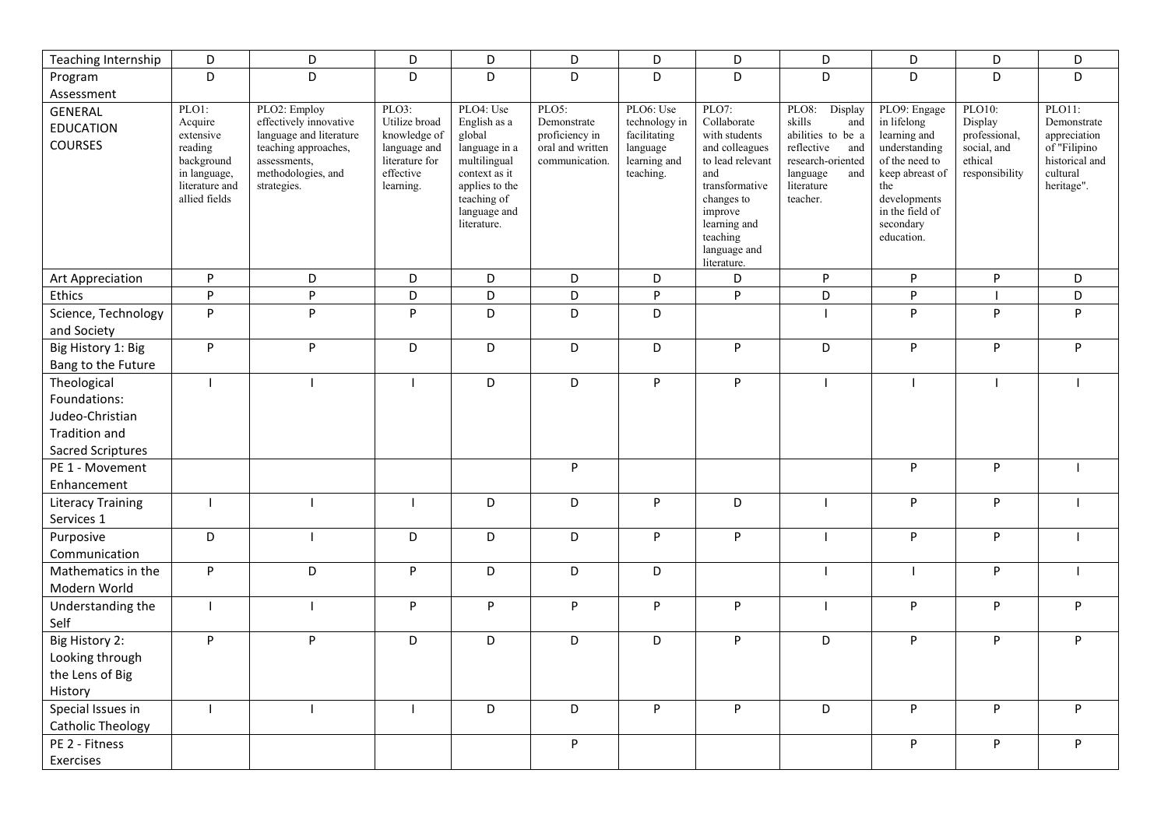| Teaching Internship                                                                         | D                                                                                                         | D                                                                                                                                              | D                                                                                                  | D                                                                                                                                                     | D                                                                            | D                                                                                   | D                                                                                                                                                                                        | D                                                                                                                                             | D                                                                                                                                                                      | D                                                                              | D                                                                                                 |
|---------------------------------------------------------------------------------------------|-----------------------------------------------------------------------------------------------------------|------------------------------------------------------------------------------------------------------------------------------------------------|----------------------------------------------------------------------------------------------------|-------------------------------------------------------------------------------------------------------------------------------------------------------|------------------------------------------------------------------------------|-------------------------------------------------------------------------------------|------------------------------------------------------------------------------------------------------------------------------------------------------------------------------------------|-----------------------------------------------------------------------------------------------------------------------------------------------|------------------------------------------------------------------------------------------------------------------------------------------------------------------------|--------------------------------------------------------------------------------|---------------------------------------------------------------------------------------------------|
| Program                                                                                     | D                                                                                                         | D                                                                                                                                              | D                                                                                                  | D                                                                                                                                                     | D                                                                            | D                                                                                   | D                                                                                                                                                                                        | D                                                                                                                                             | D                                                                                                                                                                      | D                                                                              | D                                                                                                 |
| Assessment                                                                                  |                                                                                                           |                                                                                                                                                |                                                                                                    |                                                                                                                                                       |                                                                              |                                                                                     |                                                                                                                                                                                          |                                                                                                                                               |                                                                                                                                                                        |                                                                                |                                                                                                   |
| <b>GENERAL</b><br><b>EDUCATION</b><br><b>COURSES</b>                                        | PLO1:<br>Acquire<br>extensive<br>reading<br>background<br>in language,<br>literature and<br>allied fields | PLO2: Employ<br>effectively innovative<br>language and literature<br>teaching approaches,<br>assessments,<br>methodologies, and<br>strategies. | PLO3:<br>Utilize broad<br>knowledge of<br>language and<br>literature for<br>effective<br>learning. | PLO4: Use<br>English as a<br>global<br>language in a<br>multilingual<br>context as it<br>applies to the<br>teaching of<br>language and<br>literature. | PLO5:<br>Demonstrate<br>proficiency in<br>oral and written<br>communication. | PLO6: Use<br>technology in<br>facilitating<br>language<br>learning and<br>teaching. | PLO7:<br>Collaborate<br>with students<br>and colleagues<br>to lead relevant<br>and<br>transformative<br>changes to<br>improve<br>learning and<br>teaching<br>language and<br>literature. | PLO8:<br>Display<br>skills<br>and<br>abilities to be a<br>reflective<br>and<br>research-oriented<br>language<br>and<br>literature<br>teacher. | PLO9: Engage<br>in lifelong<br>learning and<br>understanding<br>of the need to<br>keep abreast of<br>the<br>developments<br>in the field of<br>secondary<br>education. | PLO10:<br>Display<br>professional,<br>social, and<br>ethical<br>responsibility | PLO11:<br>Demonstrate<br>appreciation<br>of "Filipino<br>historical and<br>cultural<br>heritage". |
| <b>Art Appreciation</b>                                                                     | P                                                                                                         | D                                                                                                                                              | D                                                                                                  | D                                                                                                                                                     | D                                                                            | D                                                                                   | D                                                                                                                                                                                        | P                                                                                                                                             | P                                                                                                                                                                      | P                                                                              | D                                                                                                 |
| Ethics                                                                                      | P                                                                                                         | ${\sf P}$                                                                                                                                      | D                                                                                                  | D                                                                                                                                                     | D                                                                            | P                                                                                   | $\mathsf{P}$                                                                                                                                                                             | D                                                                                                                                             | P                                                                                                                                                                      | $\overline{\phantom{a}}$                                                       | D                                                                                                 |
| Science, Technology<br>and Society                                                          | P                                                                                                         | P                                                                                                                                              | P                                                                                                  | D                                                                                                                                                     | D                                                                            | D                                                                                   |                                                                                                                                                                                          |                                                                                                                                               | P                                                                                                                                                                      | P                                                                              | P                                                                                                 |
| Big History 1: Big<br>Bang to the Future                                                    | P                                                                                                         | P                                                                                                                                              | D                                                                                                  | D                                                                                                                                                     | D                                                                            | D                                                                                   | P                                                                                                                                                                                        | D                                                                                                                                             | P                                                                                                                                                                      | P                                                                              | P                                                                                                 |
| Theological<br>Foundations:<br>Judeo-Christian<br><b>Tradition and</b><br>Sacred Scriptures | $\mathbf{I}$                                                                                              | $\mathbf{I}$                                                                                                                                   |                                                                                                    | D                                                                                                                                                     | D                                                                            | P                                                                                   | $\sf P$                                                                                                                                                                                  | $\mathbf{I}$                                                                                                                                  | $\blacksquare$                                                                                                                                                         | $\overline{1}$                                                                 |                                                                                                   |
| PE 1 - Movement<br>Enhancement                                                              |                                                                                                           |                                                                                                                                                |                                                                                                    |                                                                                                                                                       | P                                                                            |                                                                                     |                                                                                                                                                                                          |                                                                                                                                               | P                                                                                                                                                                      | P                                                                              |                                                                                                   |
| <b>Literacy Training</b><br>Services 1                                                      | $\overline{1}$                                                                                            |                                                                                                                                                |                                                                                                    | D                                                                                                                                                     | D                                                                            | P                                                                                   | D                                                                                                                                                                                        | $\mathbf{I}$                                                                                                                                  | P                                                                                                                                                                      | ${\sf P}$                                                                      |                                                                                                   |
| Purposive<br>Communication                                                                  | D                                                                                                         | $\mathbf{I}$                                                                                                                                   | D                                                                                                  | D                                                                                                                                                     | D                                                                            | P                                                                                   | $\mathsf{P}$                                                                                                                                                                             | $\mathbf{I}$                                                                                                                                  | P                                                                                                                                                                      | ${\sf P}$                                                                      |                                                                                                   |
| Mathematics in the<br>Modern World                                                          | P                                                                                                         | D                                                                                                                                              | P                                                                                                  | D                                                                                                                                                     | D                                                                            | D                                                                                   |                                                                                                                                                                                          |                                                                                                                                               | - 1                                                                                                                                                                    | P                                                                              |                                                                                                   |
| Understanding the<br>Self                                                                   | $\overline{1}$                                                                                            | $\mathbf{I}$                                                                                                                                   | P                                                                                                  | P                                                                                                                                                     | P                                                                            | P                                                                                   | P                                                                                                                                                                                        | $\overline{\phantom{a}}$                                                                                                                      | P                                                                                                                                                                      | P                                                                              | P                                                                                                 |
| Big History 2:<br>Looking through<br>the Lens of Big<br>History                             | P                                                                                                         | P                                                                                                                                              | D                                                                                                  | D                                                                                                                                                     | D                                                                            | D                                                                                   | $\sf P$                                                                                                                                                                                  | D                                                                                                                                             | P                                                                                                                                                                      | ${\sf P}$                                                                      | P                                                                                                 |
| Special Issues in<br><b>Catholic Theology</b>                                               | $\mathbf{I}$                                                                                              |                                                                                                                                                |                                                                                                    | D                                                                                                                                                     | D                                                                            | P                                                                                   | P                                                                                                                                                                                        | D                                                                                                                                             | P                                                                                                                                                                      | P                                                                              | P                                                                                                 |
| PE 2 - Fitness<br>Exercises                                                                 |                                                                                                           |                                                                                                                                                |                                                                                                    |                                                                                                                                                       | P                                                                            |                                                                                     |                                                                                                                                                                                          |                                                                                                                                               | P                                                                                                                                                                      | ${\sf P}$                                                                      | P                                                                                                 |